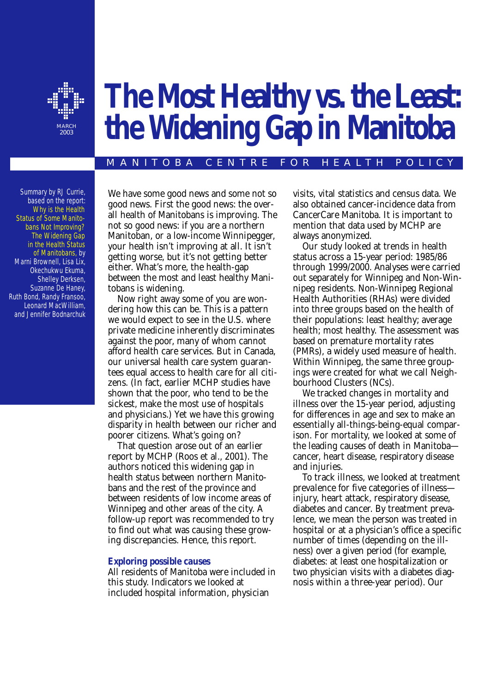

# **The Most Healthy vs. the Least: the Widening Gap in Manitoba**

#### MANITOBA CENTRE FOR HEALTH POLICY

Summary by RJ Currie, based on the report: *Why is the Health [Status of Some Manito](http://www.umanitoba.ca/centres/mchp/reports/pdfs/hlthgap.pdf)bans Not Improving? The Widening Gap in the Health Status [of Manitobans,](http://www.umanitoba.ca/centres/mchp/reports/pdfs/hlthgap.pdf)* by Marni Brownell, Lisa Lix, Okechukwu Ekuma, Shelley Derksen, Suzanne De Haney, Ruth Bond, Randy Fransoo, Leonard MacWilliam, and Jennifer Bodnarchuk

We have some good news and some not so good news. First the good news: the overall health of Manitobans is improving. The not so good news: if you are a northern Manitoban, or a low-income Winnipegger, your health isn't improving at all. It isn't getting worse, but it's not getting better either. What's more, the health-gap between the most and least healthy Manitobans is widening.

Now right away some of you are wondering how this can be. This is a pattern we would expect to see in the U.S. where private medicine inherently discriminates against the poor, many of whom cannot afford health care services. But in Canada, our universal health care system guarantees equal access to health care for all citizens. (In fact, earlier MCHP studies have shown that the poor, who tend to be the sickest, make the most use of hospitals and physicians.) Yet we have this growing disparity in health between our richer and poorer citizens. What's going on?

That question arose out of an earlier report by MCHP (Roos et al., 2001). The authors noticed this widening gap in health status between northern Manitobans and the rest of the province and between residents of low income areas of Winnipeg and other areas of the city. A follow-up report was recommended to try to find out what was causing these growing discrepancies. Hence, this report.

#### *Exploring possible causes*

All residents of Manitoba were included in this study. Indicators we looked at included hospital information, physician

visits, vital statistics and census data. We also obtained cancer-incidence data from CancerCare Manitoba. It is important to mention that data used by MCHP are always anonymized.

Our study looked at trends in health status across a 15-year period: 1985/86 through 1999/2000. Analyses were carried out separately for Winnipeg and Non-Winnipeg residents. Non-Winnipeg Regional Health Authorities (RHAs) were divided into three groups based on the health of their populations: least healthy; average health; most healthy. The assessment was based on premature mortality rates (PMRs), a widely used measure of health. Within Winnipeg, the same three groupings were created for what we call Neighbourhood Clusters (NCs).

We tracked changes in mortality and illness over the 15-year period, adjusting for differences in age and sex to make an essentially all-things-being-equal comparison. For mortality, we looked at some of the leading causes of death in Manitoba cancer, heart disease, respiratory disease and injuries.

To track illness, we looked at *treatment prevalence* for five categories of illness injury, heart attack, respiratory disease, diabetes and cancer. By treatment prevalence, we mean the person was treated in hospital or at a physician's office a specific number of times (depending on the illness) over a given period (for example, diabetes: at least one hospitalization or two physician visits with a diabetes diagnosis within a three-year period). Our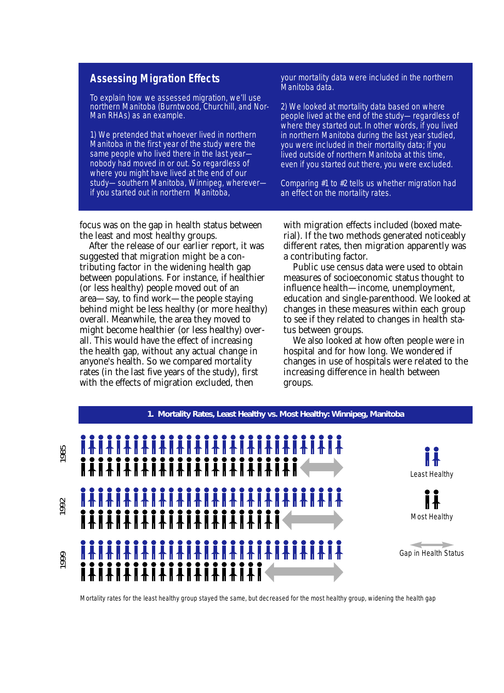# **Assessing Migration Effects**

To explain how we assessed migration, we'll use northern Manitoba (Burntwood, Churchill, and Nor-Man RHAs) as an example.

1) We pretended that whoever lived in northern Manitoba in the first year of the study were the same people who lived there in the last year nobody had moved in or out. So regardless of where you might have lived at the end of our study—southern Manitoba, Winnipeg, wherever if you started out in northern Manitoba,

your mortality data were included in the northern Manitoba data.

2) We looked at mortality data based on where people lived at the end of the study—regardless of where they started out. In other words, if you lived in northern Manitoba during the last year studied, you were included in their mortality data; if you lived outside of northern Manitoba at this time, even if you started out there, you were excluded.

Comparing #1 to #2 tells us whether migration had an effect on the mortality rates.

focus was on the gap in health status between the least and most healthy groups.

After the release of our earlier report, it was suggested that migration might be a contributing factor in the widening health gap between populations. For instance, if healthier (or less healthy) people moved out of an area—say, to find work—the people staying behind might be less healthy (or more healthy) overall. Meanwhile, the area they moved to might become healthier (or less healthy) overall. This would have the effect of increasing the health gap, without any actual change in anyone's health. So we compared mortality rates (in the last five years of the study), first with the effects of migration excluded, then

with migration effects included (boxed material). If the two methods generated noticeably different rates, then migration apparently was a contributing factor.

Public use census data were used to obtain measures of socioeconomic status thought to influence health—income, unemployment, education and single-parenthood. We looked at changes in these measures within each group to see if they related to changes in health status between groups.

We also looked at how often people were in hospital and for how long. We wondered if changes in use of hospitals were related to the increasing difference in health between groups.



Mortality rates for the least healthy group stayed the same, but decreased for the most healthy group, widening the health gap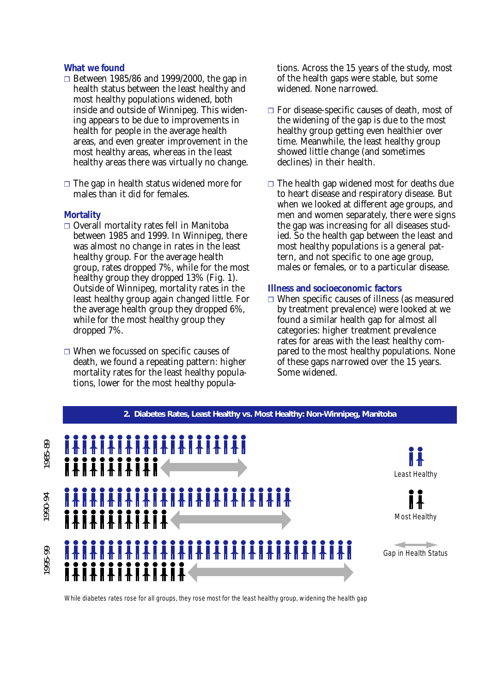## *What we found*

- ❐ Between 1985/86 and 1999/2000, the gap in health status between the least healthy and most healthy populations widened, both inside and outside of Winnipeg. This widening appears to be due to improvements in health for people in the average health areas, and even greater improvement in the most healthy areas, whereas in the least healthy areas there was virtually no change.
- $\Box$  The gap in health status widened more for males than it did for females.

## **Mortality**

- ❐ Overall mortality rates fell in Manitoba between 1985 and 1999. In Winnipeg, there was almost no change in rates in the least healthy group. For the average health group, rates dropped 7%, while for the most healthy group they dropped 13% (Fig. 1). Outside of Winnipeg, mortality rates in the least healthy group again changed little. For the average health group they dropped 6%, while for the most healthy group they dropped 7%.
- ❐ When we focussed on specific causes of death, we found a repeating pattern: higher mortality rates for the least healthy populations, lower for the most healthy popula-

tions. Across the 15 years of the study, most of the health gaps were stable, but some widened. None narrowed.

- ❐ For disease-specific causes of death, most of the widening of the gap is due to the most healthy group getting even healthier over time. Meanwhile, the least healthy group showed little change (and sometimes declines) in their health.
- $\Box$  The health gap widened most for deaths due to heart disease and respiratory disease. But when we looked at different age groups, and men and women separately, there were signs the gap was increasing for all diseases studied. So the health gap between the least and most healthy populations is a general pattern, and not specific to one age group, males or females, or to a particular disease.

## **Illness and socioeconomic factors**

 $\Box$  When specific causes of illness (as measured by treatment prevalence) were looked at we found a similar health gap for almost all categories: higher treatment prevalence rates for areas with the least healthy compared to the most healthy populations. None of these gaps narrowed over the 15 years. Some widened.



While diabetes rates rose for all groups, they rose most for the least healthy group, widening the health gap